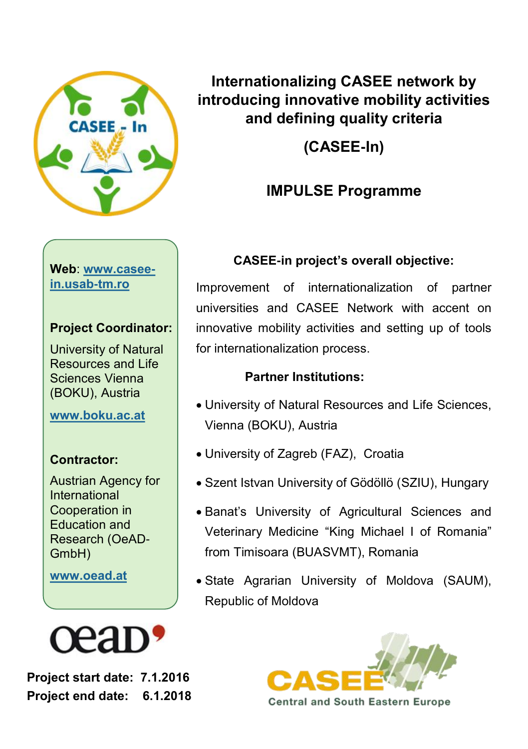

**Internationalizing CASEE network by introducing innovative mobility activities and defining quality criteria** 

**(CASEE-In)**

#### **IMPULSE Programme**

#### **Web**: **www.caseein.usab-tm.ro**

#### **Project Coordinator:**

University of Natural Resources and Life Sciences Vienna (BOKU), Austria

**[www.boku.ac.at](http://www.boku.ac.at/en/)**

#### **Contractor:**

Austrian Agency for International Cooperation in Education and Research (OeAD-GmbH)

**www.oead.at**



**Project start date: 7.1.2016 Project end date: 6.1.2018**

#### **CASEE-in project's overall objective:**

Improvement of internationalization of partner universities and CASEE Network with accent on innovative mobility activities and setting up of tools for internationalization process.

#### **Partner Institutions:**

- University of Natural Resources and Life Sciences, Vienna (BOKU), Austria
- University of Zagreb (FAZ), Croatia
- Szent Istvan University of Gödöllö (SZIU), Hungary
- Banat's University of Agricultural Sciences and Veterinary Medicine "King Michael I of Romania" from Timisoara (BUASVMT), Romania
- State Agrarian University of Moldova (SAUM), Republic of Moldova